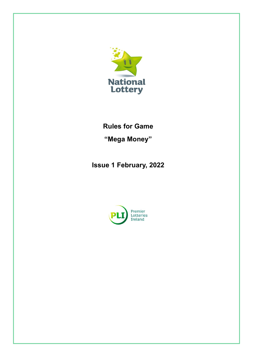

**Rules for Game "Mega Money"**

**Issue 1 February, 2022**

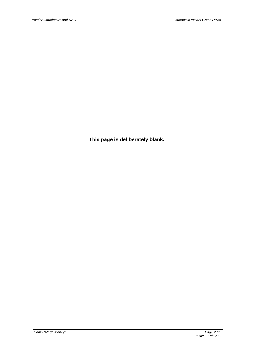**This page is deliberately blank.**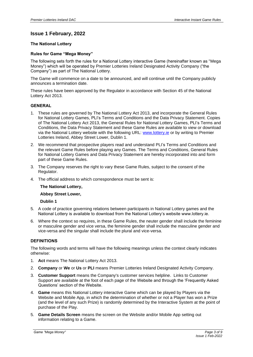# **Issue 1 February, 2022**

### **The National Lottery**

#### **Rules for Game "Mega Money"**

The following sets forth the rules for a National Lottery interactive Game (hereinafter known as "Mega Money") which will be operated by Premier Lotteries Ireland Designated Activity Company ("the Company") as part of The National Lottery.

The Game will commence on a date to be announced, and will continue until the Company publicly announces a termination date.

These rules have been approved by the Regulator in accordance with Section 45 of the National Lottery Act 2013.

#### **GENERAL**

- 1. These rules are governed by The National Lottery Act 2013, and incorporate the General Rules for National Lottery Games, PLI's Terms and Conditions and the Data Privacy Statement. Copies of The National Lottery Act 2013, the General Rules for National Lottery Games, PLI's Terms and Conditions, the Data Privacy Statement and these Game Rules are available to view or download via the National Lottery website with the following URL: [www.lottery.ie](http://www.lotto.ie/) or by writing to Premier Lotteries Ireland, Abbey Street Lower, Dublin 1.
- 2. We recommend that prospective players read and understand PLI's Terms and Conditions and the relevant Game Rules before playing any Games. The Terms and Conditions, General Rules for National Lottery Games and Data Privacy Statement are hereby incorporated into and form part of these Game Rules.
- 3. The Company reserves the right to vary these Game Rules, subject to the consent of the Regulator.
- 4. The official address to which correspondence must be sent is:

#### **The National Lottery,**

#### **Abbey Street Lower,**

**Dublin 1**

- 5. A code of practice governing relations between participants in National Lottery games and the National Lottery is available to download from the National Lottery's website www.lottery.ie.
- 6. Where the context so requires, in these Game Rules, the neuter gender shall include the feminine or masculine gender and vice versa, the feminine gender shall include the masculine gender and vice-versa and the singular shall include the plural and vice-versa.

#### **DEFINITIONS**

The following words and terms will have the following meanings unless the context clearly indicates otherwise:

- 1. **Act** means The National Lottery Act 2013.
- 2. **Company** or **We** or **Us** or **PLI** means Premier Lotteries Ireland Designated Activity Company.
- 3. **Customer Support** means the Company's customer services helpline. Links to Customer Support are available at the foot of each page of the Website and through the 'Frequently Asked Questions' section of the Website.
- 4. **Game** means this National Lottery interactive Game which can be played by Players via the Website and Mobile App, in which the determination of whether or not a Player has won a Prize (and the level of any such Prize) is randomly determined by the Interactive System at the point of purchase of the Play.
- 5. **Game Details Screen** means the screen on the Website and/or Mobile App setting out information relating to a Game.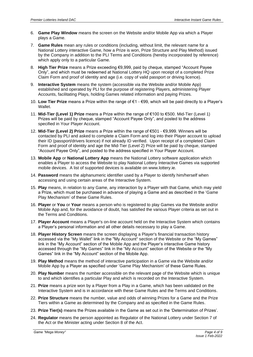- 6. **Game Play Window** means the screen on the Website and/or Mobile App via which a Player plays a Game.
- 7. **Game Rules** mean any rules or conditions (including, without limit, the relevant name for a National Lottery interactive Game, how a Prize is won, Prize Structure and Play Method) issued by the Company in addition to the PLI Terms and Conditions (hereby incorporated by reference) which apply only to a particular Game.
- 8. **High Tier Prize** means a Prize exceeding €9,999, paid by cheque, stamped "Account Payee Only", and which must be redeemed at National Lottery HQ upon receipt of a completed Prize Claim Form and proof of identity and age (i.e. copy of valid passport or driving licence).
- 9. **Interactive System** means the system (accessible via the Website and/or Mobile App) established and operated by PLI for the purpose of registering Players, administering Player Accounts, facilitating Plays, holding Games related information and paying Prizes.
- 10. **Low Tier Prize** means a Prize within the range of €1 €99, which will be paid directly to a Player's Wallet.
- 11. **Mid-Tier (Level 1) Prize** means a Prize within the range of €100 to €500. Mid-Tier (Level 1) Prizes will be paid by cheque, stamped "Account Payee Only", and posted to the address specified in Your Player Account.
- 12. **Mid-Tier (Level 2) Prize** means a Prize within the range of €501 €9,999. Winners will be contacted by PLI and asked to complete a Claim Form and log into their Player account to upload their ID (passport/drivers licence) if not already ID verified. Upon receipt of a completed Claim Form and proof of identity and age the Mid-Tier (Level 2) Prize will be paid by cheque, stamped "Account Payee Only", and posted to the address specified in Your Player Account.
- 13. **Mobile App** or **National Lottery App** means the National Lottery software application which enables a Player to access the Website to play National Lottery Interactive Games via supported mobile devices. A list of supported devices is available on www.lottery.ie.
- 14. **Password** means the alphanumeric identifier used by a Player to identify him/herself when accessing and using certain areas of the Interactive System.
- 15. **Play** means, in relation to any Game, any interaction by a Player with that Game, which may yield a Prize, which must be purchased in advance of playing a Game and as described in the 'Game Play Mechanism' of these Game Rules.
- 16. **Player** or **You** or **Your** means a person who is registered to play Games via the Website and/or Mobile App and, for the avoidance of doubt, has satisfied the various Player criteria as set out in the Terms and Conditions.
- 17. **Player Account** means a Player's on-line account held on the Interactive System which contains a Player's personal information and all other details necessary to play a Game.
- 18. **Player History Screen** means the screen displaying a Player's financial transaction history accessed via the "My Wallet" link in the "My Account" section of the Website or the "My Games" link in the "My Account" section of the Mobile App and the Player's interactive Game history accessed through the "My Games" link in the "My Account" section of the Website or the "My Games" link in the "My Account" section of the Mobile App.
- 19. **Play Method** means the method of interactive participation in a Game via the Website and/or Mobile App by a Player as specified under 'Game Play Mechanism' of these Game Rules.
- 20. **Play Number** means the number accessible on the relevant page of the Website which is unique to and which identifies a particular Play and which is recorded on the Interactive System.
- 21. **Prize** means a prize won by a Player from a Play in a Game, which has been validated on the Interactive System and is in accordance with these Game Rules and the Terms and Conditions.
- 22. **Prize Structure** means the number, value and odds of winning Prizes for a Game and the Prize Tiers within a Game as determined by the Company and as specified in the Game Rules.
- 23. **Prize Tier(s)** means the Prizes available in the Game as set out in the 'Determination of Prizes'.
- 24. **Regulator** means the person appointed as Regulator of the National Lottery under Section 7 of the Act or the Minister acting under Section 8 of the Act.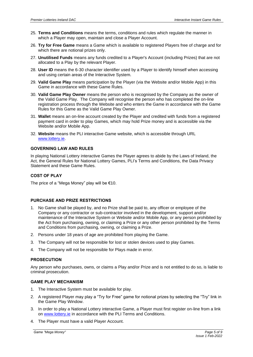- 25. **Terms and Conditions** means the terms, conditions and rules which regulate the manner in which a Player may open, maintain and close a Player Account.
- 26. **Try for Free Game** means a Game which is available to registered Players free of charge and for which there are notional prizes only.
- 27. **Unutilised Funds** means any funds credited to a Player's Account (including Prizes) that are not allocated to a Play by the relevant Player.
- 28. **User ID** means the 6-30 character identifier used by a Player to identify himself when accessing and using certain areas of the Interactive System.
- 29. **Valid Game Play** means participation by the Player (via the Website and/or Mobile App) in this Game in accordance with these Game Rules.
- 30. **Valid Game Play Owner** means the person who is recognised by the Company as the owner of the Valid Game Play. The Company will recognise the person who has completed the on-line registration process through the Website and who enters the Game in accordance with the Game Rules for this Game as the Valid Game Play Owner.
- 31. **Wallet** means an on-line account created by the Player and credited with funds from a registered payment card in order to play Games, which may hold Prize money and is accessible via the Website and/or Mobile App.
- 32. **Website** means the PLI interactive Game website, which is accessible through URL www.lottery.ie.

### **GOVERNING LAW AND RULES**

In playing National Lottery interactive Games the Player agrees to abide by the Laws of Ireland, the Act, the General Rules for National Lottery Games, PLI's Terms and Conditions, the Data Privacy Statement and these Game Rules.

#### **COST OF PLAY**

The price of a "Mega Money" play will be €10.

#### **PURCHASE AND PRIZE RESTRICTIONS**

- 1. No Game shall be played by, and no Prize shall be paid to, any officer or employee of the Company or any contractor or sub-contractor involved in the development, support and/or maintenance of the Interactive System or Website and/or Mobile App, or any person prohibited by the Act from purchasing, owning, or claiming a Prize or any other person prohibited by the Terms and Conditions from purchasing, owning, or claiming a Prize.
- 2. Persons under 18 years of age are prohibited from playing the Game.
- 3. The Company will not be responsible for lost or stolen devices used to play Games.
- 4. The Company will not be responsible for Plays made in error.

#### **PROSECUTION**

Any person who purchases, owns, or claims a Play and/or Prize and is not entitled to do so, is liable to criminal prosecution.

#### **GAME PLAY MECHANISM**

- 1. The Interactive System must be available for play.
- 2. A registered Player may play a "Try for Free" game for notional prizes by selecting the "Try" link in the Game Play Window.
- 3. In order to play a National Lottery interactive Game, a Player must first register on-line from a link on [www.lottery.ie](http://www.lotto.ie/) in accordance with the PLI Terms and Conditions.
- 4. The Player must have a valid Player Account.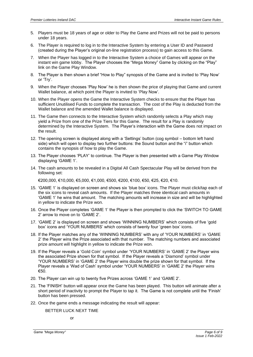- 5. Players must be 18 years of age or older to Play the Game and Prizes will not be paid to persons under 18 years.
- 6. The Player is required to log in to the Interactive System by entering a User ID and Password (created during the Player's original on-line registration process) to gain access to this Game.
- 7. When the Player has logged in to the Interactive System a choice of Games will appear on the instant win game lobby. The Player chooses the "Mega Money" Game by clicking on the "Play" link on the Game Play Window.
- 8. The Player is then shown a brief "How to Play" synopsis of the Game and is invited to 'Play Now' or 'Try'.
- 9. When the Player chooses 'Play Now' he is then shown the price of playing that Game and current Wallet balance, at which point the Player is invited to 'Play Now'.
- 10. When the Player opens the Game the Interactive System checks to ensure that the Player has sufficient Unutilised Funds to complete the transaction. The cost of the Play is deducted from the Wallet balance and the amended Wallet balance is displayed.
- 11. The Game then connects to the Interactive System which randomly selects a Play which may yield a Prize from one of the Prize Tiers for this Game. The result for a Play is randomly determined by the Interactive System. The Player's interaction with the Game does not impact on the result.
- 12. The opening screen is displayed along with a 'Settings' button (cog symbol bottom left hand side) which will open to display two further buttons: the Sound button and the "i" button which contains the synopsis of how to play the Game.
- 13. The Player chooses 'PLAY' to continue. The Player is then presented with a Game Play Window displaying 'GAME 1'.
- 14. The cash amounts to be revealed in a Digital All Cash Spectacular Play will be derived from the following set:

€200,000, €10,000, €5,000, €1,000, €500, €200, €100, €50, €25, €20, €10.

- 15. 'GAME 1' is displayed on screen and shows six 'blue box' icons. The Player must click/tap each of the six icons to reveal cash amounts. If the Player matches three identical cash amounts in 'GAME 1' he wins that amount. The matching amounts will increase in size and will be highlighted in yellow to indicate the Prize won.
- 16. Once the Player completes 'GAME 1' the Player is then prompted to click the 'SWITCH TO GAME 2' arrow to move on to 'GAME 2'.
- 17. 'GAME 2' is displayed on screen and shows 'WINNING NUMBERS' which consists of five 'gold box' icons and 'YOUR NUMBERS' which consists of twenty four 'green box' icons.
- 18. If the Player matches any of the 'WINNING NUMBERS' with any of 'YOUR NUMBERS' in 'GAME 2' the Player wins the Prize associated with that number. The matching numbers and associated prize amount will highlight in yellow to indicate the Prize won.
- 19. If the Player reveals a 'Gold Coin' symbol under 'YOUR NUMBERS' in 'GAME 2' the Player wins the associated Prize shown for that symbol. If the Player reveals a 'Diamond' symbol under 'YOUR NUMBERS' in 'GAME 2' the Player wins double the prize shown for that symbol. If the Player reveals a 'Wad of Cash' symbol under 'YOUR NUMBERS' in 'GAME 2' the Player wins €50.
- 20. The Player can win up to twenty five Prizes across 'GAME 1' and 'GAME 2'.
- 21. The 'FINISH' button will appear once the Game has been played. This button will animate after a short period of inactivity to prompt the Player to tap it. The Game is not complete until the 'Finish' button has been pressed.
- 22. Once the game ends a message indicating the result will appear:

BETTER LUCK NEXT TIME

or and the contract of the contract of the contract of the contract of the contract of the contract of the con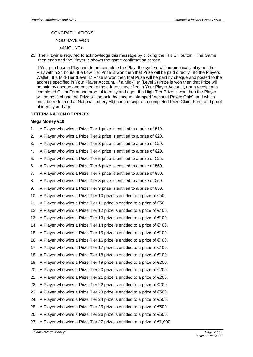# CONGRATULATIONS!

YOU HAVE WON

<AMOUNT>

23. The Player is required to acknowledge this message by clicking the FINISH button. The Game then ends and the Player is shown the game confirmation screen.

If You purchase a Play and do not complete the Play, the system will automatically play out the Play within 24 hours. If a Low Tier Prize is won then that Prize will be paid directly into the Players Wallet. If a Mid-Tier (Level 1) Prize is won then that Prize will be paid by cheque and posted to the address specified in Your Player Account. If a Mid-Tier (Level 2) Prize is won then that Prize will be paid by cheque and posted to the address specified in Your Player Account, upon receipt of a completed Claim Form and proof of identity and age. If a High-Tier Prize is won then the Player will be notified and the Prize will be paid by cheque, stamped "Account Payee Only", and which must be redeemed at National Lottery HQ upon receipt of a completed Prize Claim Form and proof of identity and age.

#### **DETERMINATION OF PRIZES**

#### **Mega Money €10**

- 1. A Player who wins a Prize Tier 1 prize is entitled to a prize of €10.
- 2. A Player who wins a Prize Tier 2 prize is entitled to a prize of  $\epsilon$ 20.
- 3. A Player who wins a Prize Tier 3 prize is entitled to a prize of €20.
- 4. A Player who wins a Prize Tier 4 prize is entitled to a prize of €20.
- 5. A Player who wins a Prize Tier 5 prize is entitled to a prize of €25.
- 6. A Player who wins a Prize Tier 6 prize is entitled to a prize of  $\epsilon$ 50.
- 7. A Player who wins a Prize Tier 7 prize is entitled to a prize of €50.
- 8. A Player who wins a Prize Tier 8 prize is entitled to a prize of €50.
- 9. A Player who wins a Prize Tier 9 prize is entitled to a prize of €50.
- 10. A Player who wins a Prize Tier 10 prize is entitled to a prize of €50.
- 11. A Player who wins a Prize Tier 11 prize is entitled to a prize of €50.
- 12. A Player who wins a Prize Tier 12 prize is entitled to a prize of €100.
- 13. A Player who wins a Prize Tier 13 prize is entitled to a prize of €100.
- 14. A Player who wins a Prize Tier 14 prize is entitled to a prize of €100.
- 15. A Player who wins a Prize Tier 15 prize is entitled to a prize of €100.
- 16. A Player who wins a Prize Tier 16 prize is entitled to a prize of €100.
- 17. A Player who wins a Prize Tier 17 prize is entitled to a prize of €100.
- 18. A Player who wins a Prize Tier 18 prize is entitled to a prize of €100.
- 19. A Player who wins a Prize Tier 19 prize is entitled to a prize of €200.
- 20. A Player who wins a Prize Tier 20 prize is entitled to a prize of €200.
- 21. A Player who wins a Prize Tier 21 prize is entitled to a prize of €200.
- 22. A Player who wins a Prize Tier 22 prize is entitled to a prize of **€**200.
- 23. A Player who wins a Prize Tier 23 prize is entitled to a prize of €500.
- 24. A Player who wins a Prize Tier 24 prize is entitled to a prize of €500.
- 25. A Player who wins a Prize Tier 25 prize is entitled to a prize of €500.
- 26. A Player who wins a Prize Tier 26 prize is entitled to a prize of €500.
- 27. A Player who wins a Prize Tier 27 prize is entitled to a prize of €1,000.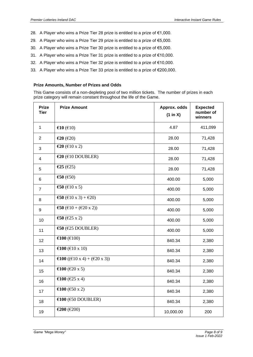- 28. A Player who wins a Prize Tier 28 prize is entitled to a prize of €1,000.
- 29. A Player who wins a Prize Tier 29 prize is entitled to a prize of €5,000.
- 30. A Player who wins a Prize Tier 30 prize is entitled to a prize of €5,000.
- 31. A Player who wins a Prize Tier 31 prize is entitled to a prize of €10,000.
- 32. A Player who wins a Prize Tier 32 prize is entitled to a prize of €10,000.
- 33. A Player who wins a Prize Tier 33 prize is entitled to a prize of €200,000.

#### **Prize Amounts, Number of Prizes and Odds**

This Game consists of a non-depleting pool of two million tickets. The number of prizes in each prize category will remain constant throughout the life of the Game.

| <b>Prize</b><br><b>Tier</b> | <b>Prize Amount</b>                    | Approx. odds<br>(1 in X) | <b>Expected</b><br>number of<br>winners |
|-----------------------------|----------------------------------------|--------------------------|-----------------------------------------|
| $\mathbf{1}$                | €10 (€10)                              | 4.87                     | 411,099                                 |
| $\overline{2}$              | €20 $(E20)$                            | 28.00                    | 71,428                                  |
| 3                           | $\epsilon$ 20 ( $\epsilon$ 10 x 2)     | 28.00                    | 71,428                                  |
| 4                           | $\epsilon$ 20 ( $\epsilon$ 10 DOUBLER) | 28.00                    | 71,428                                  |
| 5                           | $\epsilon$ 25 ( $\epsilon$ 25)         | 28.00                    | 71,428                                  |
| 6                           | €50 (€50)                              | 400.00                   | 5,000                                   |
| $\overline{7}$              | €50 (€10 x 5)                          | 400.00                   | 5,000                                   |
| 8                           | €50 (€10 x 3) + €20)                   | 400.00                   | 5,000                                   |
| 9                           | €50 (€10 + (€20 x 2))                  | 400.00                   | 5,000                                   |
| 10                          | €50 (€25 x 2)                          | 400.00                   | 5,000                                   |
| 11                          | €50 (€25 DOUBLER)                      | 400.00                   | 5,000                                   |
| 12                          | $\epsilon$ 100 ( $\epsilon$ 100)       | 840.34                   | 2,380                                   |
| 13                          | €100 (€10 x 10)                        | 840.34                   | 2,380                                   |
| 14                          | €100 ( $(€10 x 4) + (€20 x 3)$ )       | 840.34                   | 2,380                                   |
| 15                          | €100 (€20 x 5)                         | 840.34                   | 2,380                                   |
| 16                          | €100 (€25 x 4)                         | 840.34                   | 2,380                                   |
| 17                          | €100 (€50 x 2)                         | 840.34                   | 2,380                                   |
| 18                          | $£100$ ( $£50$ DOUBLER)                | 840.34                   | 2,380                                   |
| 19                          | €200 (€200)                            | 10,000.00                | 200                                     |